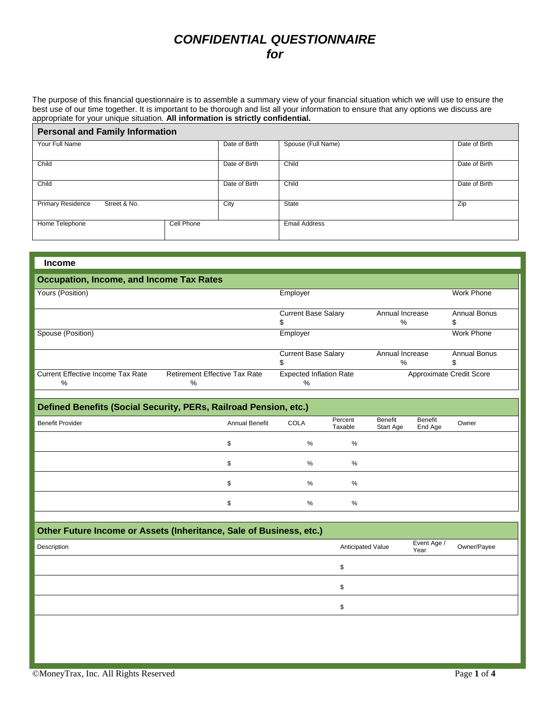## *CONFIDENTIAL QUESTIONNAIRE for*

The purpose of this financial questionnaire is to assemble a summary view of your financial situation which we will use to ensure the best use of our time together. It is important to be thorough and list all your information to ensure that any options we discuss are appropriate for your unique situation. **All information is strictly confidential.**

| <b>Personal and Family Information</b>   |            |               |                      |               |  |  |
|------------------------------------------|------------|---------------|----------------------|---------------|--|--|
| Your Full Name                           |            | Date of Birth | Spouse (Full Name)   | Date of Birth |  |  |
| Child                                    |            | Date of Birth | Child                | Date of Birth |  |  |
| Child                                    |            | Date of Birth | Child                | Date of Birth |  |  |
| <b>Primary Residence</b><br>Street & No. |            | City          | State                | Zip           |  |  |
| Home Telephone                           | Cell Phone |               | <b>Email Address</b> |               |  |  |

| <b>Income</b>                                   |                                              |                                     |                      |                          |
|-------------------------------------------------|----------------------------------------------|-------------------------------------|----------------------|--------------------------|
| <b>Occupation, Income, and Income Tax Rates</b> |                                              |                                     |                      |                          |
| Yours (Position)                                |                                              | Employer                            |                      | Work Phone               |
|                                                 |                                              | <b>Current Base Salary</b>          | Annual Increase<br>% | <b>Annual Bonus</b>      |
| Spouse (Position)                               |                                              | Employer                            |                      | <b>Work Phone</b>        |
|                                                 |                                              | <b>Current Base Salary</b>          | Annual Increase<br>% | <b>Annual Bonus</b><br>S |
| Current Effective Income Tax Rate<br>%          | <b>Retirement Effective Tax Rate</b><br>$\%$ | <b>Expected Inflation Rate</b><br>% |                      | Approximate Credit Score |

## **Defined Benefits (Social Security, PERs, Railroad Pension, etc.)**

| Annual Benefit | <b>COLA</b> | Percent<br>Taxable | Benefit<br>Start Age | Benefit<br>End Age | Owner |
|----------------|-------------|--------------------|----------------------|--------------------|-------|
| $\bullet$<br>Œ | %           | %                  |                      |                    |       |
| $\bullet$      | $\%$        | %                  |                      |                    |       |
| \$             | %           | $\%$               |                      |                    |       |
| $\triangle$    | $\%$        | %                  |                      |                    |       |
|                |             |                    |                      |                    |       |

## **Other Future Income or Assets (Inheritance, Sale of Business, etc.)**

| Description | Anticipated Value | Event Age /<br>Year | Owner/Payee |
|-------------|-------------------|---------------------|-------------|
|             |                   |                     |             |
|             |                   |                     |             |
|             |                   |                     |             |
|             |                   |                     |             |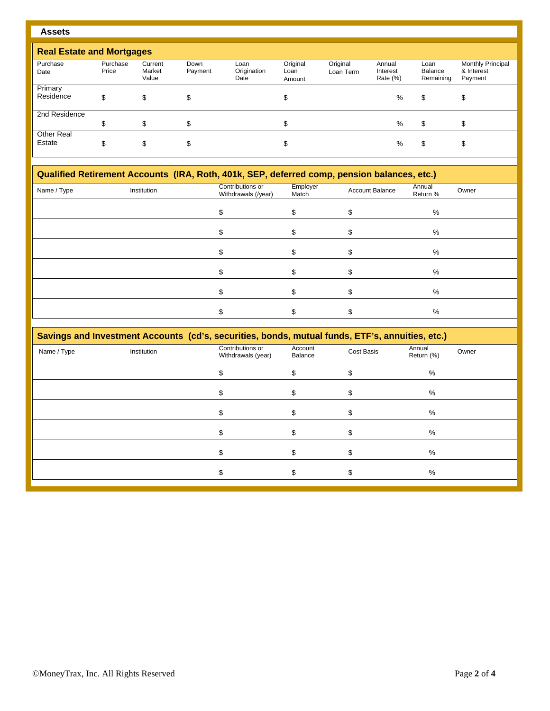| n<br>-<br>٧<br>w<br>× |
|-----------------------|
|-----------------------|

| <b>Real Estate and Mortgages</b> |                   |                            |                 |                             |                            |                       |                                |                              |                                                   |
|----------------------------------|-------------------|----------------------------|-----------------|-----------------------------|----------------------------|-----------------------|--------------------------------|------------------------------|---------------------------------------------------|
| Purchase<br>Date                 | Purchase<br>Price | Current<br>Market<br>Value | Down<br>Payment | Loan<br>Origination<br>Date | Original<br>Loan<br>Amount | Original<br>Loan Term | Annual<br>Interest<br>Rate (%) | Loan<br>Balance<br>Remaining | <b>Monthly Principal</b><br>& Interest<br>Payment |
| Primary<br>Residence             | \$                | \$                         | \$              |                             | J                          |                       | %                              | \$                           | \$                                                |
| 2nd Residence                    | \$                | \$                         | \$              |                             | σ                          |                       | %                              | \$                           | S                                                 |
| Other Real<br>Estate             | \$                | \$                         | \$              |                             | J                          |                       | %                              | \$                           | \$                                                |

| Qualified Retirement Accounts (IRA, Roth, 401k, SEP, deferred comp, pension balances, etc.) |             |                                         |                   |                        |                    |       |  |
|---------------------------------------------------------------------------------------------|-------------|-----------------------------------------|-------------------|------------------------|--------------------|-------|--|
| Name / Type                                                                                 | Institution | Contributions or<br>Withdrawals (/year) | Employer<br>Match | <b>Account Balance</b> | Annual<br>Return % | Owner |  |
|                                                                                             |             |                                         |                   |                        | %                  |       |  |
|                                                                                             |             |                                         |                   |                        | %                  |       |  |
|                                                                                             |             |                                         |                   |                        | %                  |       |  |
|                                                                                             |             |                                         |                   |                        |                    |       |  |

 $\texttt{\$} \qquad \texttt{\$} \qquad \texttt{\$} \qquad \texttt{\$} \qquad \texttt{\$} \qquad \texttt{\$} \qquad \texttt{\$}$ 

 $\texttt{\$} \qquad \texttt{\$} \qquad \texttt{\$} \qquad \texttt{\$} \qquad \texttt{\$} \qquad \texttt{\$} \qquad \texttt{\$} \qquad \texttt{\$}$ 

 $\texttt{\$} \texttt{\$} \texttt{\$} \texttt{\$} \texttt{\$} \texttt{\$} \texttt{\$} \texttt{\$} \texttt{\$} \texttt{\$} \texttt{\$} \texttt{\$} \texttt{\$} \texttt{\$} \texttt{\$} \texttt{\$} \texttt{\$} \texttt{\$} \texttt{\$} \texttt{\$} \texttt{\$} \texttt{\$} \texttt{\$} \texttt{\$} \texttt{\$} \texttt{\$} \texttt{\$} \texttt{\$} \texttt{\$} \texttt{\$} \texttt{\$} \texttt{\$} \texttt{\$} \texttt{\$} \texttt{\$} \texttt{\$} \texttt{\$ 

| <b>Savings and Investment Accounts (cd's, securities, bonds, mutual funds, ETF's, annuities, etc.)</b> |
|--------------------------------------------------------------------------------------------------------|

| <u>oavingo and invocinent Addantes</u> (oa o, ocoantes), bonao, mataarranao, Erri o, annateso, eto. <i>j</i> |             |                                        |                    |            |                      |       |  |
|--------------------------------------------------------------------------------------------------------------|-------------|----------------------------------------|--------------------|------------|----------------------|-------|--|
| Name / Type                                                                                                  | Institution | Contributions or<br>Withdrawals (year) | Account<br>Balance | Cost Basis | Annual<br>Return (%) | Owner |  |
|                                                                                                              |             |                                        |                    |            | %                    |       |  |
|                                                                                                              |             |                                        |                    |            | $\%$                 |       |  |
|                                                                                                              |             |                                        |                    |            | $\%$                 |       |  |
|                                                                                                              |             |                                        |                    |            | %                    |       |  |
|                                                                                                              |             |                                        |                    |            | $\%$                 |       |  |
|                                                                                                              |             |                                        |                    |            | $\%$                 |       |  |
|                                                                                                              |             |                                        |                    |            |                      |       |  |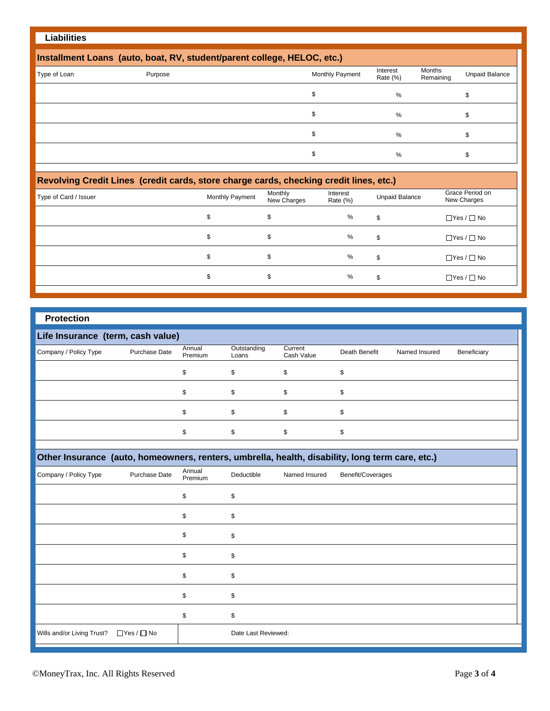## **Liabilities**

| Installment Loans (auto, boat, RV, student/parent college, HELOC, etc.) |         |                 |                      |                     |                |  |  |
|-------------------------------------------------------------------------|---------|-----------------|----------------------|---------------------|----------------|--|--|
| Type of Loan                                                            | Purpose | Monthly Payment | Interest<br>Rate (%) | Months<br>Remaining | Unpaid Balance |  |  |
|                                                                         |         |                 | %                    |                     |                |  |  |
|                                                                         |         |                 | %                    |                     |                |  |  |
|                                                                         |         |                 | %                    |                     |                |  |  |
|                                                                         |         |                 | %                    |                     |                |  |  |

| Revolving Credit Lines (credit cards, store charge cards, checking credit lines, etc.) |                 |                        |                         |                       |                                |  |  |
|----------------------------------------------------------------------------------------|-----------------|------------------------|-------------------------|-----------------------|--------------------------------|--|--|
| Type of Card / Issuer                                                                  | Monthly Payment | Monthly<br>New Charges | Interest<br>Rate $(\%)$ | <b>Unpaid Balance</b> | Grace Period on<br>New Charges |  |  |
|                                                                                        |                 |                        | %                       | \$                    | $\Box$ Yes / $\Box$ No         |  |  |
|                                                                                        |                 | \$                     | %                       | \$                    | $\Box$ Yes / $\Box$ No         |  |  |
|                                                                                        |                 | \$                     | %                       | \$                    | $\Box$ Yes / $\Box$ No         |  |  |
|                                                                                        |                 | Φ                      | %                       | \$                    | $\Box$ Yes / $\Box$ No         |  |  |
|                                                                                        |                 |                        |                         |                       |                                |  |  |

| <b>Protection</b> |  |
|-------------------|--|

| Life Insurance (term, cash value) |               |                   |                      |                       |               |               |             |
|-----------------------------------|---------------|-------------------|----------------------|-----------------------|---------------|---------------|-------------|
| Company / Policy Type             | Purchase Date | Annual<br>Premium | Outstanding<br>Loans | Current<br>Cash Value | Death Benefit | Named Insured | Beneficiary |
|                                   |               |                   | \$                   | \$                    |               |               |             |
|                                   |               |                   | \$                   | \$                    |               |               |             |
|                                   |               |                   | \$                   | \$                    |               |               |             |
|                                   |               |                   | \$                   |                       |               |               |             |

| Other Insurance (auto, homeowners, renters, umbrella, health, disability, long term care, etc.) |                        |                   |                     |               |                   |
|-------------------------------------------------------------------------------------------------|------------------------|-------------------|---------------------|---------------|-------------------|
| Company / Policy Type                                                                           | Purchase Date          | Annual<br>Premium | Deductible          | Named Insured | Benefit/Coverages |
|                                                                                                 |                        | \$                | \$                  |               |                   |
|                                                                                                 |                        | \$.               | \$                  |               |                   |
|                                                                                                 |                        | \$                | \$                  |               |                   |
|                                                                                                 |                        | \$                | \$                  |               |                   |
|                                                                                                 |                        | \$                | \$                  |               |                   |
|                                                                                                 |                        | \$                | \$                  |               |                   |
|                                                                                                 |                        | \$                | \$                  |               |                   |
| Wills and/or Living Trust?                                                                      | $\Box$ Yes / $\Box$ No |                   | Date Last Reviewed: |               |                   |